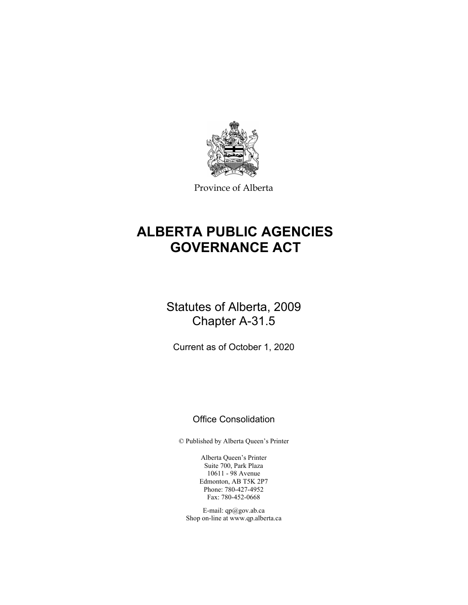

Province of Alberta

# **ALBERTA PUBLIC AGENCIES GOVERNANCE ACT**

# Statutes of Alberta, 2009 Chapter A-31.5

Current as of October 1, 2020

# Office Consolidation

© Published by Alberta Queen's Printer

Alberta Queen's Printer Suite 700, Park Plaza 10611 - 98 Avenue Edmonton, AB T5K 2P7 Phone: 780-427-4952 Fax: 780-452-0668

E-mail: qp@gov.ab.ca Shop on-line at www.qp.alberta.ca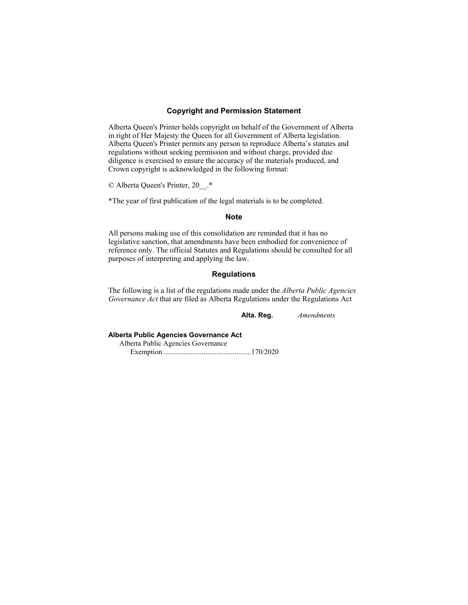## **Copyright and Permission Statement**

Alberta Queen's Printer holds copyright on behalf of the Government of Alberta in right of Her Majesty the Queen for all Government of Alberta legislation. Alberta Queen's Printer permits any person to reproduce Alberta's statutes and regulations without seeking permission and without charge, provided due diligence is exercised to ensure the accuracy of the materials produced, and Crown copyright is acknowledged in the following format:

© Alberta Queen's Printer, 20\_\_.\*

\*The year of first publication of the legal materials is to be completed.

#### **Note**

All persons making use of this consolidation are reminded that it has no legislative sanction, that amendments have been embodied for convenience of reference only. The official Statutes and Regulations should be consulted for all purposes of interpreting and applying the law.

# **Regulations**

The following is a list of the regulations made under the *Alberta Public Agencies Governance Act* that are filed as Alberta Regulations under the Regulations Act

**Alta. Reg.** *Amendments*

# **Alberta Public Agencies Governance Act**

Alberta Public Agencies Governance Exemption ................................................ 170/2020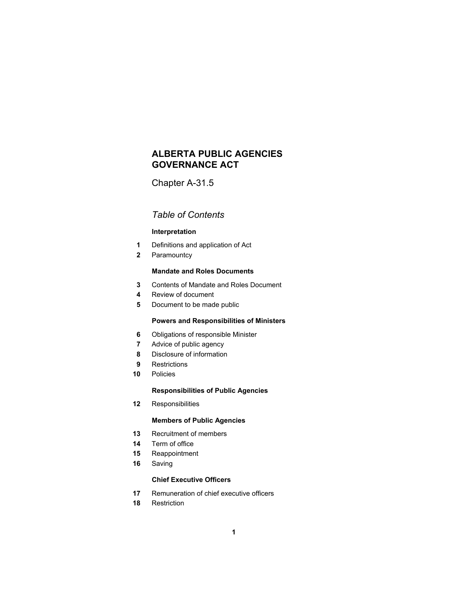# **ALBERTA PUBLIC AGENCIES GOVERNANCE ACT**

Chapter A-31.5

# *Table of Contents*

# **Interpretation**

- Definitions and application of Act
- Paramountcy

# **Mandate and Roles Documents**

- Contents of Mandate and Roles Document
- Review of document
- Document to be made public

# **Powers and Responsibilities of Ministers**

- Obligations of responsible Minister
- Advice of public agency
- Disclosure of information
- Restrictions
- Policies

# **Responsibilities of Public Agencies**

Responsibilities

# **Members of Public Agencies**

- Recruitment of members
- Term of office
- Reappointment
- Saving

# **Chief Executive Officers**

- Remuneration of chief executive officers
- Restriction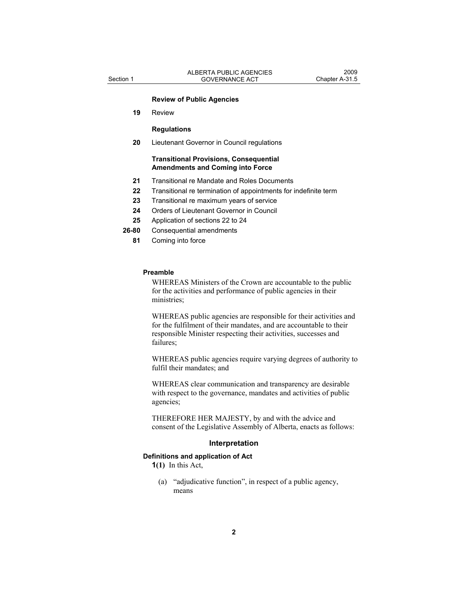### **Review of Public Agencies**

 **19** Review

#### **Regulations**

 **20** Lieutenant Governor in Council regulations

#### **Transitional Provisions, Consequential Amendments and Coming into Force**

- **21** Transitional re Mandate and Roles Documents
- **22** Transitional re termination of appointments for indefinite term
- **23** Transitional re maximum years of service
- **24** Orders of Lieutenant Governor in Council
- **25** Application of sections 22 to 24
- **26-80** Consequential amendments
	- **81** Coming into force

#### **Preamble**

WHEREAS Ministers of the Crown are accountable to the public for the activities and performance of public agencies in their ministries;

WHEREAS public agencies are responsible for their activities and for the fulfilment of their mandates, and are accountable to their responsible Minister respecting their activities, successes and failures;

WHEREAS public agencies require varying degrees of authority to fulfil their mandates; and

WHEREAS clear communication and transparency are desirable with respect to the governance, mandates and activities of public agencies;

THEREFORE HER MAJESTY, by and with the advice and consent of the Legislative Assembly of Alberta, enacts as follows:

#### **Interpretation**

## **Definitions and application of Act**

**1(1)** In this Act,

 (a) "adjudicative function", in respect of a public agency, means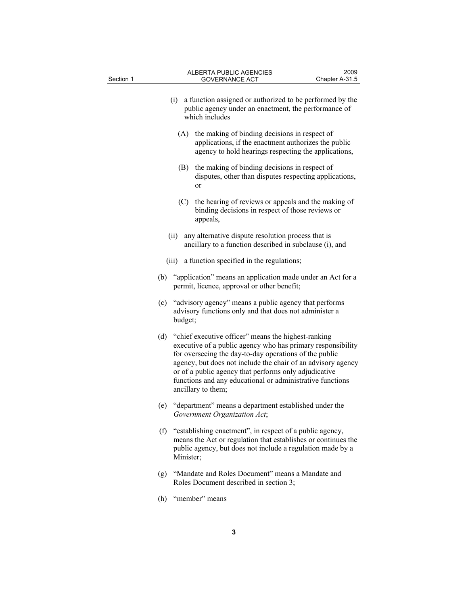| Section 1 |     |           | <b>ALBERTA PUBLIC AGENCIES</b><br><b>GOVERNANCE ACT</b>                                                                                                                                                                                                                                                                                                                                  | 2009<br>Chapter A-31.5 |
|-----------|-----|-----------|------------------------------------------------------------------------------------------------------------------------------------------------------------------------------------------------------------------------------------------------------------------------------------------------------------------------------------------------------------------------------------------|------------------------|
|           |     |           | (i) a function assigned or authorized to be performed by the<br>public agency under an enactment, the performance of<br>which includes                                                                                                                                                                                                                                                   |                        |
|           |     |           | (A) the making of binding decisions in respect of<br>applications, if the enactment authorizes the public<br>agency to hold hearings respecting the applications,                                                                                                                                                                                                                        |                        |
|           |     | (B)       | the making of binding decisions in respect of<br>disputes, other than disputes respecting applications,<br>or                                                                                                                                                                                                                                                                            |                        |
|           |     | (C)       | the hearing of reviews or appeals and the making of<br>binding decisions in respect of those reviews or<br>appeals,                                                                                                                                                                                                                                                                      |                        |
|           |     | (ii)      | any alternative dispute resolution process that is<br>ancillary to a function described in subclause (i), and                                                                                                                                                                                                                                                                            |                        |
|           |     |           | (iii) a function specified in the regulations;                                                                                                                                                                                                                                                                                                                                           |                        |
|           | (b) |           | "application" means an application made under an Act for a<br>permit, licence, approval or other benefit;                                                                                                                                                                                                                                                                                |                        |
|           | (c) | budget;   | "advisory agency" means a public agency that performs<br>advisory functions only and that does not administer a                                                                                                                                                                                                                                                                          |                        |
|           | (d) |           | "chief executive officer" means the highest-ranking<br>executive of a public agency who has primary responsibility<br>for overseeing the day-to-day operations of the public<br>agency, but does not include the chair of an advisory agency<br>or of a public agency that performs only adjudicative<br>functions and any educational or administrative functions<br>ancillary to them; |                        |
|           | (e) |           | "department" means a department established under the<br>Government Organization Act;                                                                                                                                                                                                                                                                                                    |                        |
|           | (f) | Minister; | "establishing enactment", in respect of a public agency,<br>means the Act or regulation that establishes or continues the<br>public agency, but does not include a regulation made by a                                                                                                                                                                                                  |                        |
|           | (g) |           | "Mandate and Roles Document" means a Mandate and<br>Roles Document described in section 3;                                                                                                                                                                                                                                                                                               |                        |
|           | (h) |           | "member" means                                                                                                                                                                                                                                                                                                                                                                           |                        |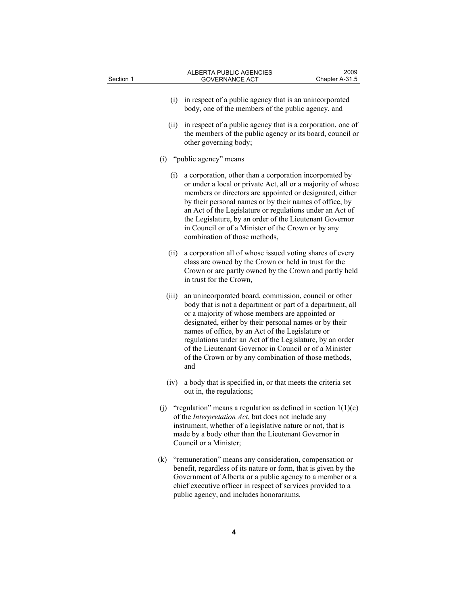| Section 1 |       | ALBERTA PUBLIC AGENCIES<br><b>GOVERNANCE ACT</b>                                                                                                                                                                                                                                                                                                                                                                                                                          | 2009<br>Chapter A-31.5 |
|-----------|-------|---------------------------------------------------------------------------------------------------------------------------------------------------------------------------------------------------------------------------------------------------------------------------------------------------------------------------------------------------------------------------------------------------------------------------------------------------------------------------|------------------------|
|           |       |                                                                                                                                                                                                                                                                                                                                                                                                                                                                           |                        |
|           |       | (i) in respect of a public agency that is an unincorporated<br>body, one of the members of the public agency, and                                                                                                                                                                                                                                                                                                                                                         |                        |
|           | (ii)  | in respect of a public agency that is a corporation, one of<br>the members of the public agency or its board, council or<br>other governing body;                                                                                                                                                                                                                                                                                                                         |                        |
|           |       | (i) "public agency" means                                                                                                                                                                                                                                                                                                                                                                                                                                                 |                        |
|           | (i)   | a corporation, other than a corporation incorporated by<br>or under a local or private Act, all or a majority of whose<br>members or directors are appointed or designated, either<br>by their personal names or by their names of office, by<br>an Act of the Legislature or regulations under an Act of<br>the Legislature, by an order of the Lieutenant Governor<br>in Council or of a Minister of the Crown or by any<br>combination of those methods,               |                        |
|           | (ii)  | a corporation all of whose issued voting shares of every<br>class are owned by the Crown or held in trust for the<br>Crown or are partly owned by the Crown and partly held<br>in trust for the Crown,                                                                                                                                                                                                                                                                    |                        |
|           | (iii) | an unincorporated board, commission, council or other<br>body that is not a department or part of a department, all<br>or a majority of whose members are appointed or<br>designated, either by their personal names or by their<br>names of office, by an Act of the Legislature or<br>regulations under an Act of the Legislature, by an order<br>of the Lieutenant Governor in Council or of a Minister<br>of the Crown or by any combination of those methods,<br>and |                        |
|           | (iv)  | a body that is specified in, or that meets the criteria set<br>out in, the regulations;                                                                                                                                                                                                                                                                                                                                                                                   |                        |
|           | (j)   | "regulation" means a regulation as defined in section $1(1)(c)$<br>of the <i>Interpretation Act</i> , but does not include any<br>instrument, whether of a legislative nature or not, that is<br>made by a body other than the Lieutenant Governor in<br>Council or a Minister;                                                                                                                                                                                           |                        |
|           | (k)   | "remuneration" means any consideration, compensation or<br>benefit, regardless of its nature or form, that is given by the<br>Government of Alberta or a public agency to a member or a                                                                                                                                                                                                                                                                                   |                        |

**4**

public agency, and includes honorariums.

chief executive officer in respect of services provided to a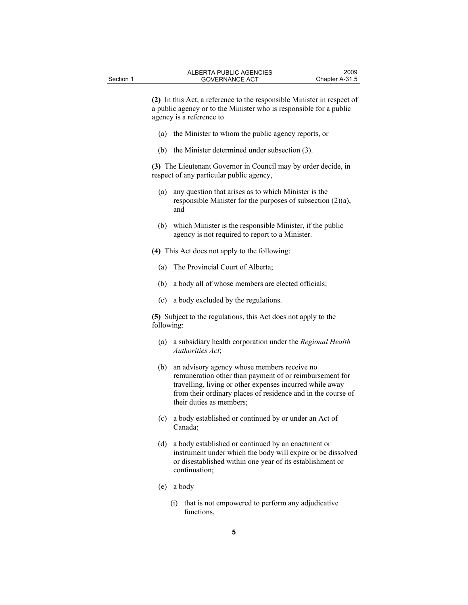**(2)** In this Act, a reference to the responsible Minister in respect of a public agency or to the Minister who is responsible for a public agency is a reference to

- (a) the Minister to whom the public agency reports, or
- (b) the Minister determined under subsection (3).

**(3)** The Lieutenant Governor in Council may by order decide, in respect of any particular public agency,

- (a) any question that arises as to which Minister is the responsible Minister for the purposes of subsection (2)(a), and
- (b) which Minister is the responsible Minister, if the public agency is not required to report to a Minister.

**(4)** This Act does not apply to the following:

- (a) The Provincial Court of Alberta;
- (b) a body all of whose members are elected officials;
- (c) a body excluded by the regulations.

**(5)** Subject to the regulations, this Act does not apply to the following:

- (a) a subsidiary health corporation under the *Regional Health Authorities Act*;
- (b) an advisory agency whose members receive no remuneration other than payment of or reimbursement for travelling, living or other expenses incurred while away from their ordinary places of residence and in the course of their duties as members;
- (c) a body established or continued by or under an Act of Canada;
- (d) a body established or continued by an enactment or instrument under which the body will expire or be dissolved or disestablished within one year of its establishment or continuation;
- (e) a body
	- (i) that is not empowered to perform any adjudicative functions,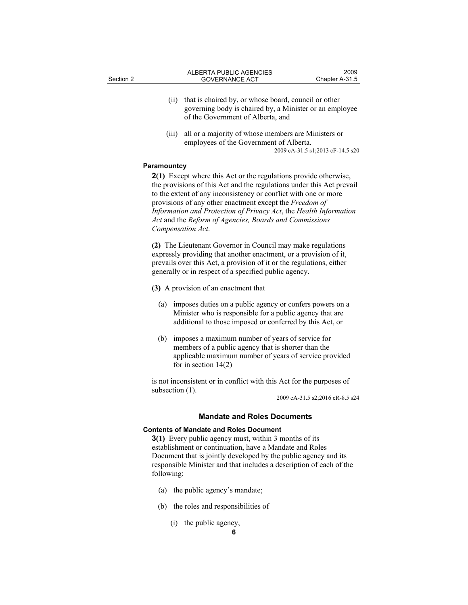- (ii) that is chaired by, or whose board, council or other governing body is chaired by, a Minister or an employee of the Government of Alberta, and
- (iii) all or a majority of whose members are Ministers or employees of the Government of Alberta. 2009 cA-31.5 s1;2013 cF-14.5 s20

#### **Paramountcy**

**2(1)** Except where this Act or the regulations provide otherwise, the provisions of this Act and the regulations under this Act prevail to the extent of any inconsistency or conflict with one or more provisions of any other enactment except the *Freedom of Information and Protection of Privacy Act*, the *Health Information Act* and the *Reform of Agencies, Boards and Commissions Compensation Act*.

**(2)** The Lieutenant Governor in Council may make regulations expressly providing that another enactment, or a provision of it, prevails over this Act, a provision of it or the regulations, either generally or in respect of a specified public agency.

**(3)** A provision of an enactment that

- (a) imposes duties on a public agency or confers powers on a Minister who is responsible for a public agency that are additional to those imposed or conferred by this Act, or
- (b) imposes a maximum number of years of service for members of a public agency that is shorter than the applicable maximum number of years of service provided for in section 14(2)

is not inconsistent or in conflict with this Act for the purposes of subsection (1).

2009 cA-31.5 s2;2016 cR-8.5 s24

#### **Mandate and Roles Documents**

#### **Contents of Mandate and Roles Document**

**3(1)** Every public agency must, within 3 months of its establishment or continuation, have a Mandate and Roles Document that is jointly developed by the public agency and its responsible Minister and that includes a description of each of the following:

- (a) the public agency's mandate;
- (b) the roles and responsibilities of
	- (i) the public agency,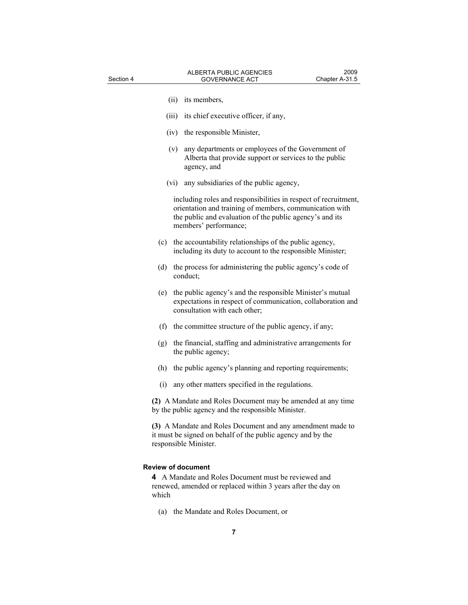|       | (ii) its members,                                                                                                                                                                                               |
|-------|-----------------------------------------------------------------------------------------------------------------------------------------------------------------------------------------------------------------|
| (iii) | its chief executive officer, if any,                                                                                                                                                                            |
|       |                                                                                                                                                                                                                 |
|       | (iv) the responsible Minister,                                                                                                                                                                                  |
| (v)   | any departments or employees of the Government of<br>Alberta that provide support or services to the public<br>agency, and                                                                                      |
|       | (vi) any subsidiaries of the public agency,                                                                                                                                                                     |
|       | including roles and responsibilities in respect of recruitment,<br>orientation and training of members, communication with<br>the public and evaluation of the public agency's and its<br>members' performance; |
| (c)   | the accountability relationships of the public agency,<br>including its duty to account to the responsible Minister;                                                                                            |
| (d)   | the process for administering the public agency's code of<br>conduct;                                                                                                                                           |
| (e)   | the public agency's and the responsible Minister's mutual<br>expectations in respect of communication, collaboration and<br>consultation with each other;                                                       |
|       | (f) the committee structure of the public agency, if any;                                                                                                                                                       |
| (g)   | the financial, staffing and administrative arrangements for<br>the public agency;                                                                                                                               |
| (h)   | the public agency's planning and reporting requirements;                                                                                                                                                        |
| (i)   | any other matters specified in the regulations.                                                                                                                                                                 |
|       | (2) A Mandate and Roles Document may be amended at any time<br>by the public agency and the responsible Minister.                                                                                               |
|       | (3) A Mandate and Roles Document and any amendment made to<br>it must be signed on behalf of the public agency and by the<br>responsible Minister.                                                              |
|       | <b>Review of document</b>                                                                                                                                                                                       |
| which | 4 A Mandate and Roles Document must be reviewed and<br>renewed, amended or replaced within 3 years after the day on                                                                                             |

(a) the Mandate and Roles Document, or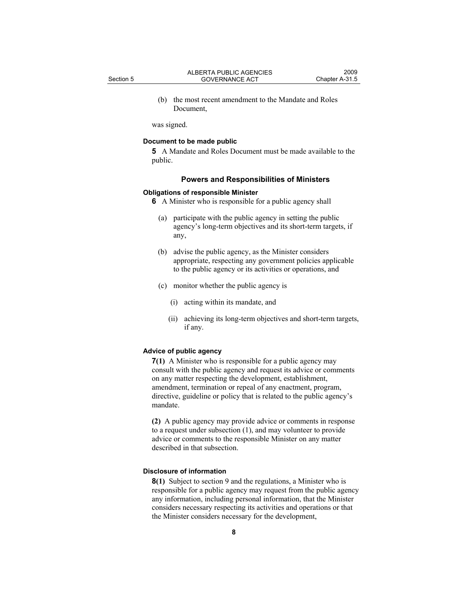(b) the most recent amendment to the Mandate and Roles Document,

was signed.

### **Document to be made public**

**5** A Mandate and Roles Document must be made available to the public.

#### **Powers and Responsibilities of Ministers**

#### **Obligations of responsible Minister**

**6** A Minister who is responsible for a public agency shall

- (a) participate with the public agency in setting the public agency's long-term objectives and its short-term targets, if any,
- (b) advise the public agency, as the Minister considers appropriate, respecting any government policies applicable to the public agency or its activities or operations, and
- (c) monitor whether the public agency is
	- (i) acting within its mandate, and
	- (ii) achieving its long-term objectives and short-term targets, if any.

#### **Advice of public agency**

**7(1)** A Minister who is responsible for a public agency may consult with the public agency and request its advice or comments on any matter respecting the development, establishment, amendment, termination or repeal of any enactment, program, directive, guideline or policy that is related to the public agency's mandate.

**(2)** A public agency may provide advice or comments in response to a request under subsection (1), and may volunteer to provide advice or comments to the responsible Minister on any matter described in that subsection.

# **Disclosure of information**

**8(1)** Subject to section 9 and the regulations, a Minister who is responsible for a public agency may request from the public agency any information, including personal information, that the Minister considers necessary respecting its activities and operations or that the Minister considers necessary for the development,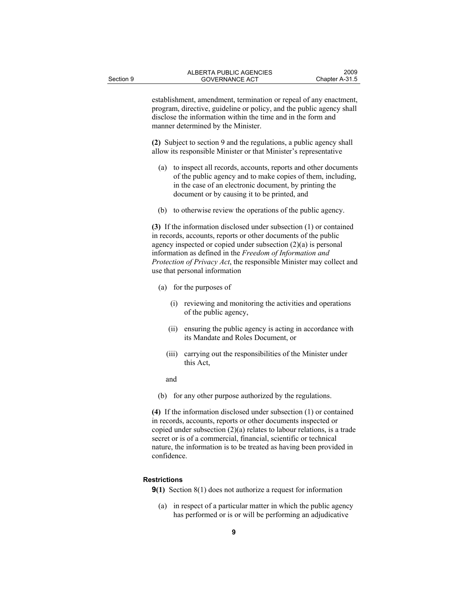establishment, amendment, termination or repeal of any enactment, program, directive, guideline or policy, and the public agency shall disclose the information within the time and in the form and manner determined by the Minister.

**(2)** Subject to section 9 and the regulations, a public agency shall allow its responsible Minister or that Minister's representative

- (a) to inspect all records, accounts, reports and other documents of the public agency and to make copies of them, including, in the case of an electronic document, by printing the document or by causing it to be printed, and
- (b) to otherwise review the operations of the public agency.

**(3)** If the information disclosed under subsection (1) or contained in records, accounts, reports or other documents of the public agency inspected or copied under subsection (2)(a) is personal information as defined in the *Freedom of Information and Protection of Privacy Act*, the responsible Minister may collect and use that personal information

- (a) for the purposes of
	- (i) reviewing and monitoring the activities and operations of the public agency,
	- (ii) ensuring the public agency is acting in accordance with its Mandate and Roles Document, or
	- (iii) carrying out the responsibilities of the Minister under this Act,

and

(b) for any other purpose authorized by the regulations.

**(4)** If the information disclosed under subsection (1) or contained in records, accounts, reports or other documents inspected or copied under subsection  $(2)(a)$  relates to labour relations, is a trade secret or is of a commercial, financial, scientific or technical nature, the information is to be treated as having been provided in confidence.

#### **Restrictions**

- **9(1)** Section 8(1) does not authorize a request for information
	- (a) in respect of a particular matter in which the public agency has performed or is or will be performing an adjudicative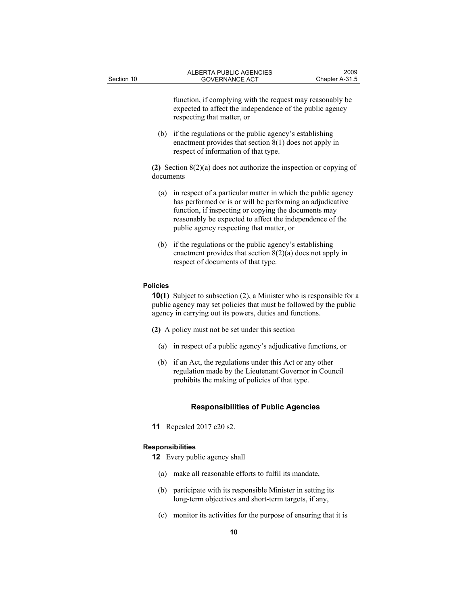function, if complying with the request may reasonably be expected to affect the independence of the public agency respecting that matter, or

 (b) if the regulations or the public agency's establishing enactment provides that section 8(1) does not apply in respect of information of that type.

**(2)** Section 8(2)(a) does not authorize the inspection or copying of documents

- (a) in respect of a particular matter in which the public agency has performed or is or will be performing an adjudicative function, if inspecting or copying the documents may reasonably be expected to affect the independence of the public agency respecting that matter, or
- (b) if the regulations or the public agency's establishing enactment provides that section 8(2)(a) does not apply in respect of documents of that type.

#### **Policies**

**10(1)** Subject to subsection (2), a Minister who is responsible for a public agency may set policies that must be followed by the public agency in carrying out its powers, duties and functions.

**(2)** A policy must not be set under this section

- (a) in respect of a public agency's adjudicative functions, or
- (b) if an Act, the regulations under this Act or any other regulation made by the Lieutenant Governor in Council prohibits the making of policies of that type.

### **Responsibilities of Public Agencies**

**11** Repealed 2017 c20 s2.

#### **Responsibilities**

- **12** Every public agency shall
	- (a) make all reasonable efforts to fulfil its mandate,
	- (b) participate with its responsible Minister in setting its long-term objectives and short-term targets, if any,
	- (c) monitor its activities for the purpose of ensuring that it is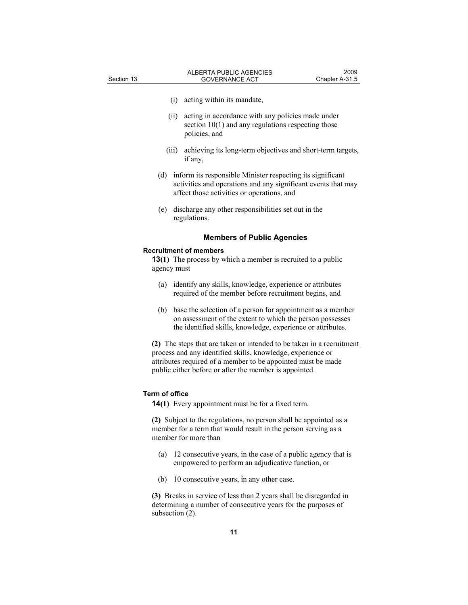- (i) acting within its mandate,
- (ii) acting in accordance with any policies made under section 10(1) and any regulations respecting those policies, and
- (iii) achieving its long-term objectives and short-term targets, if any,
- (d) inform its responsible Minister respecting its significant activities and operations and any significant events that may affect those activities or operations, and
- (e) discharge any other responsibilities set out in the regulations.

#### **Members of Public Agencies**

#### **Recruitment of members**

**13(1)** The process by which a member is recruited to a public agency must

- (a) identify any skills, knowledge, experience or attributes required of the member before recruitment begins, and
- (b) base the selection of a person for appointment as a member on assessment of the extent to which the person possesses the identified skills, knowledge, experience or attributes.

**(2)** The steps that are taken or intended to be taken in a recruitment process and any identified skills, knowledge, experience or attributes required of a member to be appointed must be made public either before or after the member is appointed.

#### **Term of office**

**14(1)** Every appointment must be for a fixed term.

**(2)** Subject to the regulations, no person shall be appointed as a member for a term that would result in the person serving as a member for more than

- (a) 12 consecutive years, in the case of a public agency that is empowered to perform an adjudicative function, or
- (b) 10 consecutive years, in any other case.

**(3)** Breaks in service of less than 2 years shall be disregarded in determining a number of consecutive years for the purposes of subsection (2).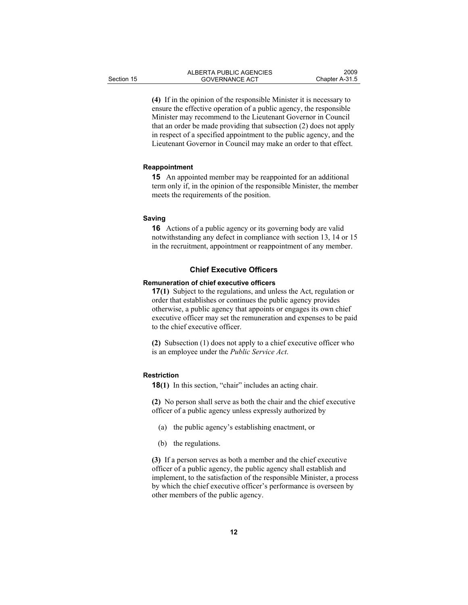**(4)** If in the opinion of the responsible Minister it is necessary to ensure the effective operation of a public agency, the responsible Minister may recommend to the Lieutenant Governor in Council that an order be made providing that subsection (2) does not apply in respect of a specified appointment to the public agency, and the Lieutenant Governor in Council may make an order to that effect.

#### **Reappointment**

**15** An appointed member may be reappointed for an additional term only if, in the opinion of the responsible Minister, the member meets the requirements of the position.

#### **Saving**

**16** Actions of a public agency or its governing body are valid notwithstanding any defect in compliance with section 13, 14 or 15 in the recruitment, appointment or reappointment of any member.

### **Chief Executive Officers**

#### **Remuneration of chief executive officers**

**17(1)** Subject to the regulations, and unless the Act, regulation or order that establishes or continues the public agency provides otherwise, a public agency that appoints or engages its own chief executive officer may set the remuneration and expenses to be paid to the chief executive officer.

**(2)** Subsection (1) does not apply to a chief executive officer who is an employee under the *Public Service Act*.

#### **Restriction**

**18(1)** In this section, "chair" includes an acting chair.

**(2)** No person shall serve as both the chair and the chief executive officer of a public agency unless expressly authorized by

- (a) the public agency's establishing enactment, or
- (b) the regulations.

**(3)** If a person serves as both a member and the chief executive officer of a public agency, the public agency shall establish and implement, to the satisfaction of the responsible Minister, a process by which the chief executive officer's performance is overseen by other members of the public agency.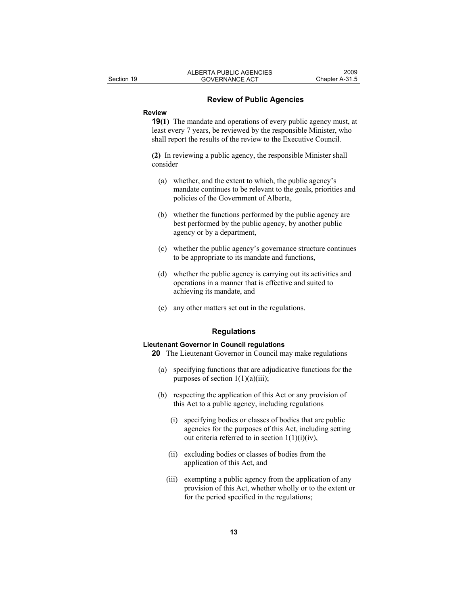#### **Review of Public Agencies**

# **Review**

**19(1)** The mandate and operations of every public agency must, at least every 7 years, be reviewed by the responsible Minister, who shall report the results of the review to the Executive Council.

**(2)** In reviewing a public agency, the responsible Minister shall consider

- (a) whether, and the extent to which, the public agency's mandate continues to be relevant to the goals, priorities and policies of the Government of Alberta,
- (b) whether the functions performed by the public agency are best performed by the public agency, by another public agency or by a department,
- (c) whether the public agency's governance structure continues to be appropriate to its mandate and functions,
- (d) whether the public agency is carrying out its activities and operations in a manner that is effective and suited to achieving its mandate, and
- (e) any other matters set out in the regulations.

# **Regulations**

#### **Lieutenant Governor in Council regulations**

**20** The Lieutenant Governor in Council may make regulations

- (a) specifying functions that are adjudicative functions for the purposes of section  $1(1)(a)(iii)$ ;
- (b) respecting the application of this Act or any provision of this Act to a public agency, including regulations
	- (i) specifying bodies or classes of bodies that are public agencies for the purposes of this Act, including setting out criteria referred to in section  $1(1)(i)(iv)$ ,
	- (ii) excluding bodies or classes of bodies from the application of this Act, and
	- (iii) exempting a public agency from the application of any provision of this Act, whether wholly or to the extent or for the period specified in the regulations;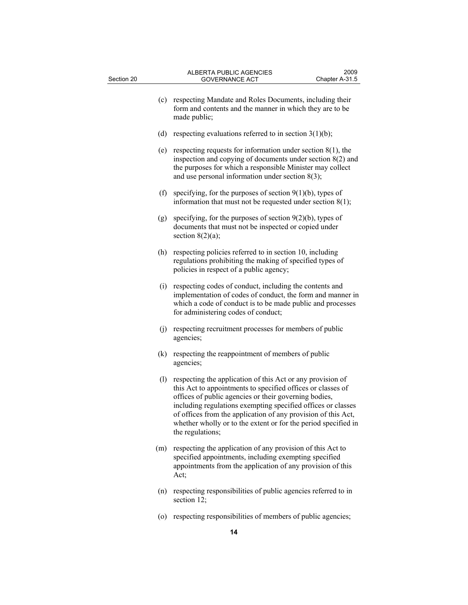| Section 20 | <b>ALBERTA PUBLIC AGENCIES</b><br><b>GOVERNANCE ACT</b>                                                                                                                                                                                                                                                                                                                                                                                 | 2009<br>Chapter A-31.5 |
|------------|-----------------------------------------------------------------------------------------------------------------------------------------------------------------------------------------------------------------------------------------------------------------------------------------------------------------------------------------------------------------------------------------------------------------------------------------|------------------------|
|            | (c)<br>respecting Mandate and Roles Documents, including their<br>form and contents and the manner in which they are to be<br>made public;                                                                                                                                                                                                                                                                                              |                        |
|            | (d)<br>respecting evaluations referred to in section $3(1)(b)$ ;                                                                                                                                                                                                                                                                                                                                                                        |                        |
|            | respecting requests for information under section $8(1)$ , the<br>(e)<br>inspection and copying of documents under section $8(2)$ and<br>the purposes for which a responsible Minister may collect<br>and use personal information under section $8(3)$ ;                                                                                                                                                                               |                        |
|            | (f)<br>specifying, for the purposes of section $9(1)(b)$ , types of<br>information that must not be requested under section $8(1)$ ;                                                                                                                                                                                                                                                                                                    |                        |
|            | specifying, for the purposes of section $9(2)(b)$ , types of<br>(g)<br>documents that must not be inspected or copied under<br>section $8(2)(a)$ ;                                                                                                                                                                                                                                                                                      |                        |
|            | respecting policies referred to in section 10, including<br>(h)<br>regulations prohibiting the making of specified types of<br>policies in respect of a public agency;                                                                                                                                                                                                                                                                  |                        |
|            | respecting codes of conduct, including the contents and<br>(i)<br>implementation of codes of conduct, the form and manner in<br>which a code of conduct is to be made public and processes<br>for administering codes of conduct;                                                                                                                                                                                                       |                        |
|            | respecting recruitment processes for members of public<br>(j)<br>agencies;                                                                                                                                                                                                                                                                                                                                                              |                        |
|            | respecting the reappointment of members of public<br>(k)<br>agencies;                                                                                                                                                                                                                                                                                                                                                                   |                        |
|            | respecting the application of this Act or any provision of<br>$\left( \mathbf{l}\right)$<br>this Act to appointments to specified offices or classes of<br>offices of public agencies or their governing bodies,<br>including regulations exempting specified offices or classes<br>of offices from the application of any provision of this Act,<br>whether wholly or to the extent or for the period specified in<br>the regulations; |                        |
| (m)        | respecting the application of any provision of this Act to<br>specified appointments, including exempting specified<br>appointments from the application of any provision of this<br>Act;                                                                                                                                                                                                                                               |                        |
|            | respecting responsibilities of public agencies referred to in<br>(n)<br>section 12;                                                                                                                                                                                                                                                                                                                                                     |                        |

(o) respecting responsibilities of members of public agencies;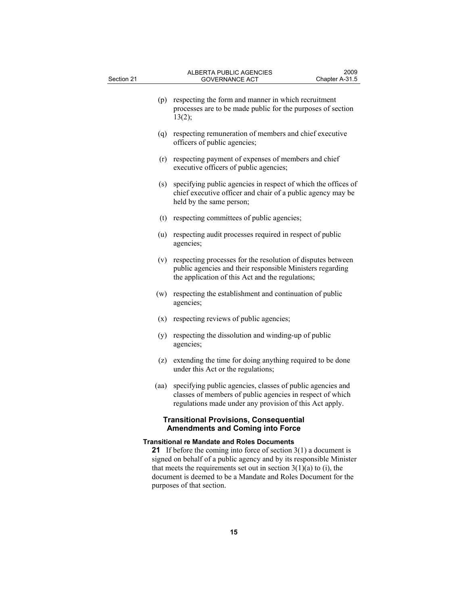| (p)                                                                                      | respecting the form and manner in which recruitment<br>processes are to be made public for the purposes of section<br>13(2);                                                                                                                                                       |  |
|------------------------------------------------------------------------------------------|------------------------------------------------------------------------------------------------------------------------------------------------------------------------------------------------------------------------------------------------------------------------------------|--|
| (q)                                                                                      | respecting remuneration of members and chief executive<br>officers of public agencies;                                                                                                                                                                                             |  |
| (r)                                                                                      | respecting payment of expenses of members and chief<br>executive officers of public agencies;                                                                                                                                                                                      |  |
| (s)                                                                                      | specifying public agencies in respect of which the offices of<br>chief executive officer and chair of a public agency may be<br>held by the same person;                                                                                                                           |  |
| (t)                                                                                      | respecting committees of public agencies;                                                                                                                                                                                                                                          |  |
| (u)                                                                                      | respecting audit processes required in respect of public<br>agencies;                                                                                                                                                                                                              |  |
| (v)                                                                                      | respecting processes for the resolution of disputes between<br>public agencies and their responsible Ministers regarding<br>the application of this Act and the regulations;                                                                                                       |  |
| (w)                                                                                      | respecting the establishment and continuation of public<br>agencies;                                                                                                                                                                                                               |  |
| (x)                                                                                      | respecting reviews of public agencies;                                                                                                                                                                                                                                             |  |
| (y)                                                                                      | respecting the dissolution and winding-up of public<br>agencies;                                                                                                                                                                                                                   |  |
|                                                                                          | (z) extending the time for doing anything required to be done<br>under this Act or the regulations;                                                                                                                                                                                |  |
| (aa)                                                                                     | specifying public agencies, classes of public agencies and<br>classes of members of public agencies in respect of which<br>regulations made under any provision of this Act apply.                                                                                                 |  |
| <b>Transitional Provisions, Consequential</b><br><b>Amendments and Coming into Force</b> |                                                                                                                                                                                                                                                                                    |  |
| <b>Transitional re Mandate and Roles Documents</b>                                       |                                                                                                                                                                                                                                                                                    |  |
|                                                                                          | 21 If before the coming into force of section $3(1)$ a document is<br>signed on behalf of a public agency and by its responsible Minister<br>that meets the requirements set out in section $3(1)(a)$ to (i), the<br>document is deemed to be a Mandate and Roles Document for the |  |

purposes of that section.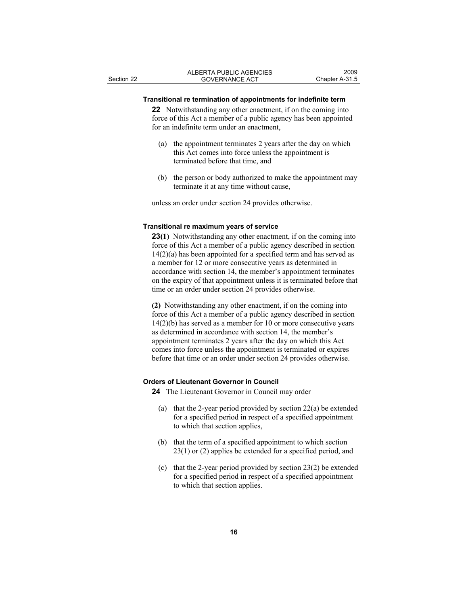### **Transitional re termination of appointments for indefinite term**

**22** Notwithstanding any other enactment, if on the coming into force of this Act a member of a public agency has been appointed for an indefinite term under an enactment,

- (a) the appointment terminates 2 years after the day on which this Act comes into force unless the appointment is terminated before that time, and
- (b) the person or body authorized to make the appointment may terminate it at any time without cause,

unless an order under section 24 provides otherwise.

# **Transitional re maximum years of service**

**23(1)** Notwithstanding any other enactment, if on the coming into force of this Act a member of a public agency described in section  $14(2)(a)$  has been appointed for a specified term and has served as a member for 12 or more consecutive years as determined in accordance with section 14, the member's appointment terminates on the expiry of that appointment unless it is terminated before that time or an order under section 24 provides otherwise.

**(2)** Notwithstanding any other enactment, if on the coming into force of this Act a member of a public agency described in section 14(2)(b) has served as a member for 10 or more consecutive years as determined in accordance with section 14, the member's appointment terminates 2 years after the day on which this Act comes into force unless the appointment is terminated or expires before that time or an order under section 24 provides otherwise.

## **Orders of Lieutenant Governor in Council**

**24** The Lieutenant Governor in Council may order

- (a) that the 2-year period provided by section 22(a) be extended for a specified period in respect of a specified appointment to which that section applies,
- (b) that the term of a specified appointment to which section 23(1) or (2) applies be extended for a specified period, and
- (c) that the 2-year period provided by section 23(2) be extended for a specified period in respect of a specified appointment to which that section applies.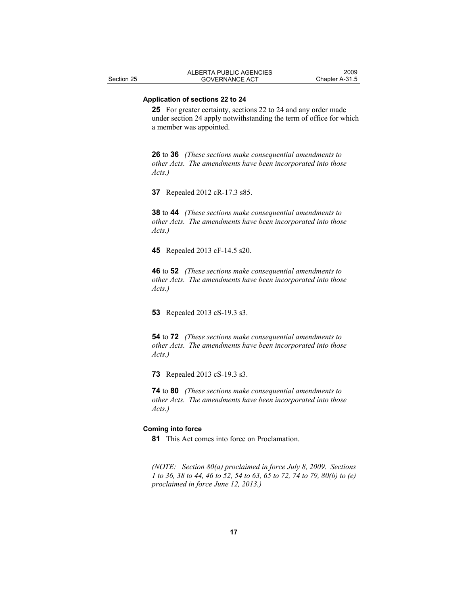### **Application of sections 22 to 24**

**25** For greater certainty, sections 22 to 24 and any order made under section 24 apply notwithstanding the term of office for which a member was appointed.

**26** to **36** *(These sections make consequential amendments to other Acts. The amendments have been incorporated into those Acts.)* 

**37** Repealed 2012 cR-17.3 s85.

**38** to **44** *(These sections make consequential amendments to other Acts. The amendments have been incorporated into those Acts.)* 

**45** Repealed 2013 cF-14.5 s20.

**46** to **52** *(These sections make consequential amendments to other Acts. The amendments have been incorporated into those Acts.)* 

**53** Repealed 2013 cS-19.3 s3.

**54** to **72** *(These sections make consequential amendments to other Acts. The amendments have been incorporated into those Acts.)* 

**73** Repealed 2013 cS-19.3 s3.

**74** to **80** *(These sections make consequential amendments to other Acts. The amendments have been incorporated into those Acts.)* 

#### **Coming into force**

**81** This Act comes into force on Proclamation.

*(NOTE: Section 80(a) proclaimed in force July 8, 2009. Sections 1 to 36, 38 to 44, 46 to 52, 54 to 63, 65 to 72, 74 to 79, 80(b) to (e) proclaimed in force June 12, 2013.)*